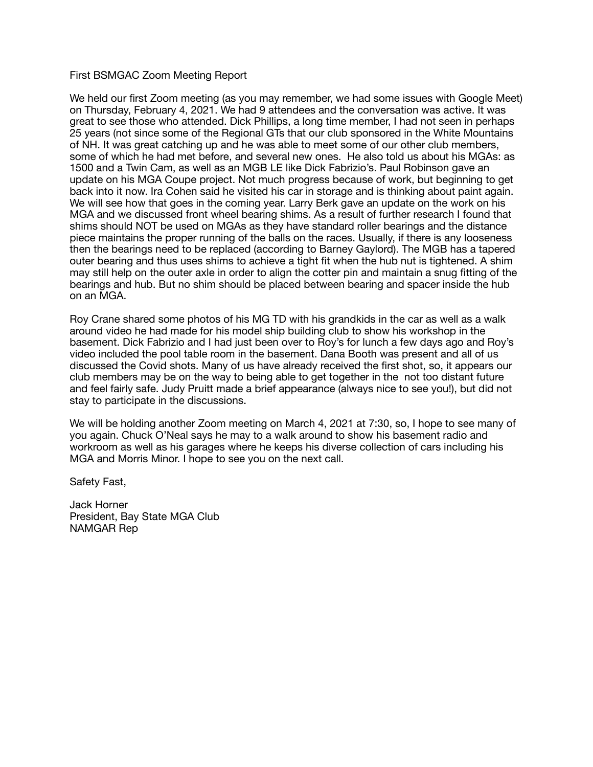## First BSMGAC Zoom Meeting Report

We held our first Zoom meeting (as you may remember, we had some issues with Google Meet) on Thursday, February 4, 2021. We had 9 attendees and the conversation was active. It was great to see those who attended. Dick Phillips, a long time member, I had not seen in perhaps 25 years (not since some of the Regional GTs that our club sponsored in the White Mountains of NH. It was great catching up and he was able to meet some of our other club members, some of which he had met before, and several new ones. He also told us about his MGAs: as 1500 and a Twin Cam, as well as an MGB LE like Dick Fabrizio's. Paul Robinson gave an update on his MGA Coupe project. Not much progress because of work, but beginning to get back into it now. Ira Cohen said he visited his car in storage and is thinking about paint again. We will see how that goes in the coming year. Larry Berk gave an update on the work on his MGA and we discussed front wheel bearing shims. As a result of further research I found that shims should NOT be used on MGAs as they have standard roller bearings and the distance piece maintains the proper running of the balls on the races. Usually, if there is any looseness then the bearings need to be replaced (according to Barney Gaylord). The MGB has a tapered outer bearing and thus uses shims to achieve a tight fit when the hub nut is tightened. A shim may still help on the outer axle in order to align the cotter pin and maintain a snug fitting of the bearings and hub. But no shim should be placed between bearing and spacer inside the hub on an MGA.

Roy Crane shared some photos of his MG TD with his grandkids in the car as well as a walk around video he had made for his model ship building club to show his workshop in the basement. Dick Fabrizio and I had just been over to Roy's for lunch a few days ago and Roy's video included the pool table room in the basement. Dana Booth was present and all of us discussed the Covid shots. Many of us have already received the first shot, so, it appears our club members may be on the way to being able to get together in the not too distant future and feel fairly safe. Judy Pruitt made a brief appearance (always nice to see you!), but did not stay to participate in the discussions.

We will be holding another Zoom meeting on March 4, 2021 at 7:30, so, I hope to see many of you again. Chuck O'Neal says he may to a walk around to show his basement radio and workroom as well as his garages where he keeps his diverse collection of cars including his MGA and Morris Minor. I hope to see you on the next call.

Safety Fast,

Jack Horner President, Bay State MGA Club NAMGAR Rep